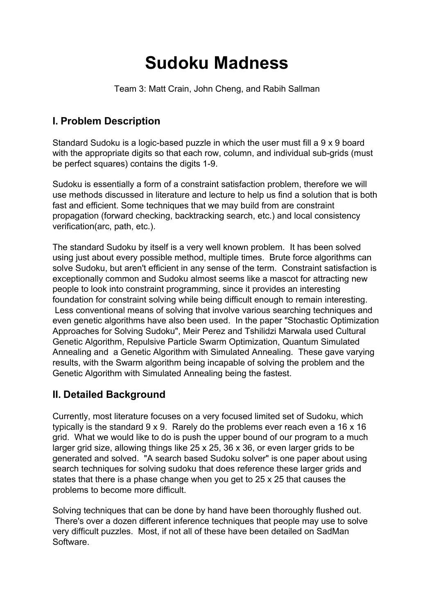# **Sudoku Madness**

Team 3: Matt Crain, John Cheng, and Rabih Sallman

# **I. Problem Description**

Standard Sudoku is a logic-based puzzle in which the user must fill a 9 x 9 board with the appropriate digits so that each row, column, and individual sub-grids (must be perfect squares) contains the digits 1-9.

Sudoku is essentially a form of a constraint satisfaction problem, therefore we will use methods discussed in literature and lecture to help us find a solution that is both fast and efficient. Some techniques that we may build from are constraint propagation (forward checking, backtracking search, etc.) and local consistency verification(arc, path, etc.).

The standard Sudoku by itself is a very well known problem. It has been solved using just about every possible method, multiple times. Brute force algorithms can solve Sudoku, but aren't efficient in any sense of the term. Constraint satisfaction is exceptionally common and Sudoku almost seems like a mascot for attracting new people to look into constraint programming, since it provides an interesting foundation for constraint solving while being difficult enough to remain interesting. Less conventional means of solving that involve various searching techniques and even genetic algorithms have also been used. In the paper "Stochastic Optimization Approaches for Solving Sudoku", Meir Perez and Tshilidzi Marwala used Cultural Genetic Algorithm, Repulsive Particle Swarm Optimization, Quantum Simulated Annealing and a Genetic Algorithm with Simulated Annealing. These gave varying results, with the Swarm algorithm being incapable of solving the problem and the Genetic Algorithm with Simulated Annealing being the fastest.

# **II. Detailed Background**

Currently, most literature focuses on a very focused limited set of Sudoku, which typically is the standard 9 x 9. Rarely do the problems ever reach even a 16 x 16 grid. What we would like to do is push the upper bound of our program to a much larger grid size, allowing things like 25 x 25, 36 x 36, or even larger grids to be generated and solved. "A search based Sudoku solver" is one paper about using search techniques for solving sudoku that does reference these larger grids and states that there is a phase change when you get to 25 x 25 that causes the problems to become more difficult.

Solving techniques that can be done by hand have been thoroughly flushed out. There's over a dozen different inference techniques that people may use to solve very difficult puzzles. Most, if not all of these have been detailed on SadMan **Software**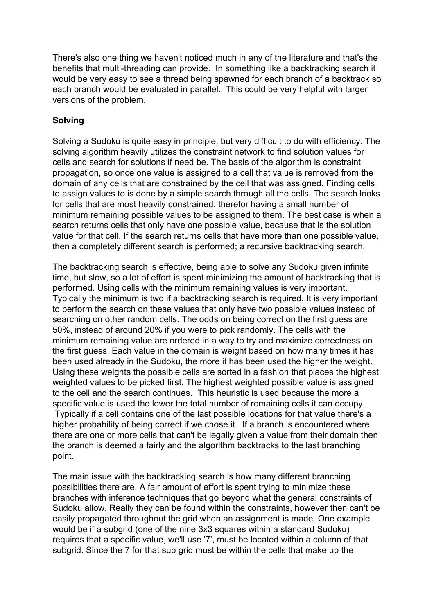There's also one thing we haven't noticed much in any of the literature and that's the benefits that multi-threading can provide. In something like a backtracking search it would be very easy to see a thread being spawned for each branch of a backtrack so each branch would be evaluated in parallel. This could be very helpful with larger versions of the problem.

#### **Solving**

Solving a Sudoku is quite easy in principle, but very difficult to do with efficiency. The solving algorithm heavily utilizes the constraint network to find solution values for cells and search for solutions if need be. The basis of the algorithm is constraint propagation, so once one value is assigned to a cell that value is removed from the domain of any cells that are constrained by the cell that was assigned. Finding cells to assign values to is done by a simple search through all the cells. The search looks for cells that are most heavily constrained, therefor having a small number of minimum remaining possible values to be assigned to them. The best case is when a search returns cells that only have one possible value, because that is the solution value for that cell. If the search returns cells that have more than one possible value, then a completely different search is performed; a recursive backtracking search.

The backtracking search is effective, being able to solve any Sudoku given infinite time, but slow, so a lot of effort is spent minimizing the amount of backtracking that is performed. Using cells with the minimum remaining values is very important. Typically the minimum is two if a backtracking search is required. It is very important to perform the search on these values that only have two possible values instead of searching on other random cells. The odds on being correct on the first guess are 50%, instead of around 20% if you were to pick randomly. The cells with the minimum remaining value are ordered in a way to try and maximize correctness on the first guess. Each value in the domain is weight based on how many times it has been used already in the Sudoku, the more it has been used the higher the weight. Using these weights the possible cells are sorted in a fashion that places the highest weighted values to be picked first. The highest weighted possible value is assigned to the cell and the search continues. This heuristic is used because the more a specific value is used the lower the total number of remaining cells it can occupy. Typically if a cell contains one of the last possible locations for that value there's a higher probability of being correct if we chose it. If a branch is encountered where there are one or more cells that can't be legally given a value from their domain then the branch is deemed a fairly and the algorithm backtracks to the last branching point.

The main issue with the backtracking search is how many different branching possibilities there are. A fair amount of effort is spent trying to minimize these branches with inference techniques that go beyond what the general constraints of Sudoku allow. Really they can be found within the constraints, however then can't be easily propagated throughout the grid when an assignment is made. One example would be if a subgrid (one of the nine 3x3 squares within a standard Sudoku) requires that a specific value, we'll use '7', must be located within a column of that subgrid. Since the 7 for that sub grid must be within the cells that make up the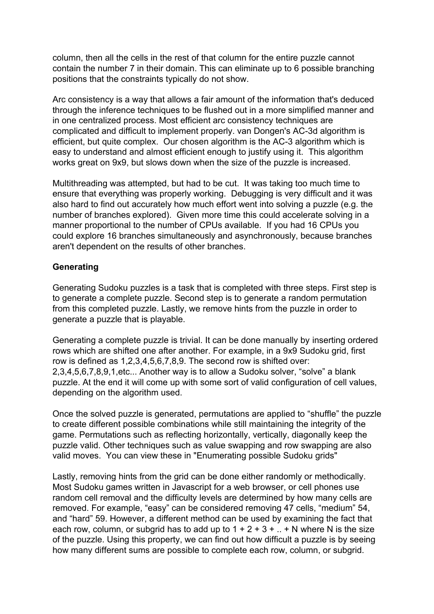column, then all the cells in the rest of that column for the entire puzzle cannot contain the number 7 in their domain. This can eliminate up to 6 possible branching positions that the constraints typically do not show.

Arc consistency is a way that allows a fair amount of the information that's deduced through the inference techniques to be flushed out in a more simplified manner and in one centralized process. Most efficient arc consistency techniques are complicated and difficult to implement properly. van Dongen's AC-3d algorithm is efficient, but quite complex. Our chosen algorithm is the AC-3 algorithm which is easy to understand and almost efficient enough to justify using it. This algorithm works great on 9x9, but slows down when the size of the puzzle is increased.

Multithreading was attempted, but had to be cut. It was taking too much time to ensure that everything was properly working. Debugging is very difficult and it was also hard to find out accurately how much effort went into solving a puzzle (e.g. the number of branches explored). Given more time this could accelerate solving in a manner proportional to the number of CPUs available. If you had 16 CPUs you could explore 16 branches simultaneously and asynchronously, because branches aren't dependent on the results of other branches.

#### **Generating**

Generating Sudoku puzzles is a task that is completed with three steps. First step is to generate a complete puzzle. Second step is to generate a random permutation from this completed puzzle. Lastly, we remove hints from the puzzle in order to generate a puzzle that is playable.

Generating a complete puzzle is trivial. It can be done manually by inserting ordered rows which are shifted one after another. For example, in a 9x9 Sudoku grid, first row is defined as 1,2,3,4,5,6,7,8,9. The second row is shifted over: 2,3,4,5,6,7,8,9,1,etc... Another way is to allow a Sudoku solver, "solve" a blank puzzle. At the end it will come up with some sort of valid configuration of cell values, depending on the algorithm used.

Once the solved puzzle is generated, permutations are applied to "shuffle" the puzzle to create different possible combinations while still maintaining the integrity of the game. Permutations such as reflecting horizontally, vertically, diagonally keep the puzzle valid. Other techniques such as value swapping and row swapping are also valid moves. You can view these in "Enumerating possible Sudoku grids"

Lastly, removing hints from the grid can be done either randomly or methodically. Most Sudoku games written in Javascript for a web browser, or cell phones use random cell removal and the difficulty levels are determined by how many cells are removed. For example, "easy" can be considered removing 47 cells, "medium" 54, and "hard" 59. However, a different method can be used by examining the fact that each row, column, or subgrid has to add up to  $1 + 2 + 3 + ... + N$  where N is the size of the puzzle. Using this property, we can find out how difficult a puzzle is by seeing how many different sums are possible to complete each row, column, or subgrid.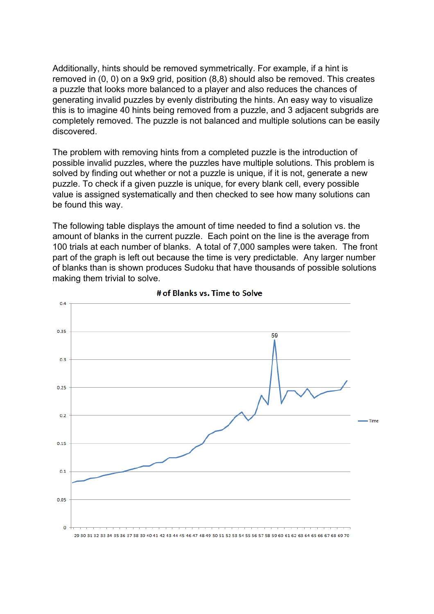Additionally, hints should be removed symmetrically. For example, if a hint is removed in (0, 0) on a 9x9 grid, position (8,8) should also be removed. This creates a puzzle that looks more balanced to a player and also reduces the chances of generating invalid puzzles by evenly distributing the hints. An easy way to visualize this is to imagine 40 hints being removed from a puzzle, and 3 adjacent subgrids are completely removed. The puzzle is not balanced and multiple solutions can be easily discovered.

The problem with removing hints from a completed puzzle is the introduction of possible invalid puzzles, where the puzzles have multiple solutions. This problem is solved by finding out whether or not a puzzle is unique, if it is not, generate a new puzzle. To check if a given puzzle is unique, for every blank cell, every possible value is assigned systematically and then checked to see how many solutions can be found this way.

The following table displays the amount of time needed to find a solution vs. the amount of blanks in the current puzzle. Each point on the line is the average from 100 trials at each number of blanks. A total of 7,000 samples were taken. The front part of the graph is left out because the time is very predictable. Any larger number of blanks than is shown produces Sudoku that have thousands of possible solutions making them trivial to solve.



# of Blanks vs. Time to Solve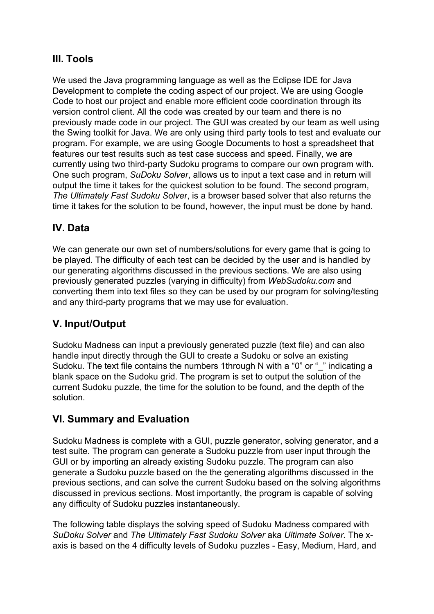# **III. Tools**

We used the Java programming language as well as the Eclipse IDE for Java Development to complete the coding aspect of our project. We are using Google Code to host our project and enable more efficient code coordination through its version control client. All the code was created by our team and there is no previously made code in our project. The GUI was created by our team as well using the Swing toolkit for Java. We are only using third party tools to test and evaluate our program. For example, we are using Google Documents to host a spreadsheet that features our test results such as test case success and speed. Finally, we are currently using two third-party Sudoku programs to compare our own program with. One such program, *SuDoku Solver*, allows us to input a text case and in return will output the time it takes for the quickest solution to be found. The second program, *The Ultimately Fast Sudoku Solver*, is a browser based solver that also returns the time it takes for the solution to be found, however, the input must be done by hand.

## **IV. Data**

We can generate our own set of numbers/solutions for every game that is going to be played. The difficulty of each test can be decided by the user and is handled by our generating algorithms discussed in the previous sections. We are also using previously generated puzzles (varying in difficulty) from *WebSudoku.com* and converting them into text files so they can be used by our program for solving/testing and any third-party programs that we may use for evaluation.

## **V. Input/Output**

Sudoku Madness can input a previously generated puzzle (text file) and can also handle input directly through the GUI to create a Sudoku or solve an existing Sudoku. The text file contains the numbers 1through N with a "0" or "\_" indicating a blank space on the Sudoku grid. The program is set to output the solution of the current Sudoku puzzle, the time for the solution to be found, and the depth of the solution.

## **VI. Summary and Evaluation**

Sudoku Madness is complete with a GUI, puzzle generator, solving generator, and a test suite. The program can generate a Sudoku puzzle from user input through the GUI or by importing an already existing Sudoku puzzle. The program can also generate a Sudoku puzzle based on the the generating algorithms discussed in the previous sections, and can solve the current Sudoku based on the solving algorithms discussed in previous sections. Most importantly, the program is capable of solving any difficulty of Sudoku puzzles instantaneously.

The following table displays the solving speed of Sudoku Madness compared with *SuDoku Solver* and *The Ultimately Fast Sudoku Solver* aka *Ultimate Solver.* The xaxis is based on the 4 difficulty levels of Sudoku puzzles - Easy, Medium, Hard, and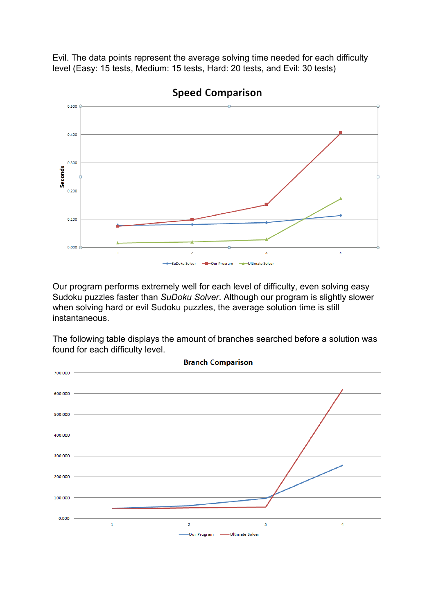Evil. The data points represent the average solving time needed for each difficulty level (Easy: 15 tests, Medium: 15 tests, Hard: 20 tests, and Evil: 30 tests)



**Speed Comparison** 

Our program performs extremely well for each level of difficulty, even solving easy Sudoku puzzles faster than *SuDoku Solver*. Although our program is slightly slower when solving hard or evil Sudoku puzzles, the average solution time is still instantaneous.

The following table displays the amount of branches searched before a solution was found for each difficulty level.

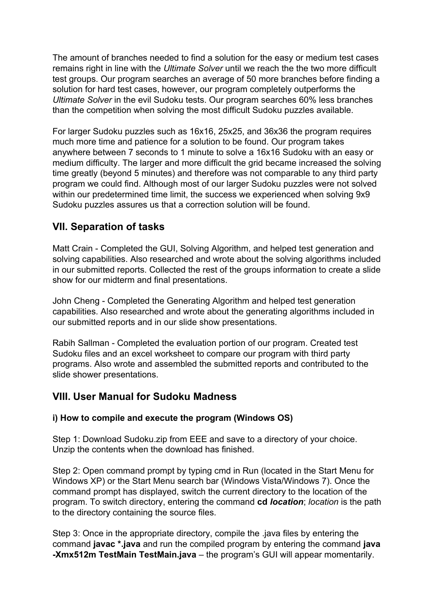The amount of branches needed to find a solution for the easy or medium test cases remains right in line with the *Ultimate Solver* until we reach the the two more difficult test groups. Our program searches an average of 50 more branches before finding a solution for hard test cases, however, our program completely outperforms the *Ultimate Solver* in the evil Sudoku tests. Our program searches 60% less branches than the competition when solving the most difficult Sudoku puzzles available.

For larger Sudoku puzzles such as 16x16, 25x25, and 36x36 the program requires much more time and patience for a solution to be found. Our program takes anywhere between 7 seconds to 1 minute to solve a 16x16 Sudoku with an easy or medium difficulty. The larger and more difficult the grid became increased the solving time greatly (beyond 5 minutes) and therefore was not comparable to any third party program we could find. Although most of our larger Sudoku puzzles were not solved within our predetermined time limit, the success we experienced when solving 9x9 Sudoku puzzles assures us that a correction solution will be found.

## **VII. Separation of tasks**

Matt Crain - Completed the GUI, Solving Algorithm, and helped test generation and solving capabilities. Also researched and wrote about the solving algorithms included in our submitted reports. Collected the rest of the groups information to create a slide show for our midterm and final presentations.

John Cheng - Completed the Generating Algorithm and helped test generation capabilities. Also researched and wrote about the generating algorithms included in our submitted reports and in our slide show presentations.

Rabih Sallman - Completed the evaluation portion of our program. Created test Sudoku files and an excel worksheet to compare our program with third party programs. Also wrote and assembled the submitted reports and contributed to the slide shower presentations.

## **VIII. User Manual for Sudoku Madness**

#### **i) How to compile and execute the program (Windows OS)**

Step 1: Download Sudoku.zip from EEE and save to a directory of your choice. Unzip the contents when the download has finished.

Step 2: Open command prompt by typing cmd in Run (located in the Start Menu for Windows XP) or the Start Menu search bar (Windows Vista/Windows 7). Once the command prompt has displayed, switch the current directory to the location of the program. To switch directory, entering the command **cd** *location*; *location* is the path to the directory containing the source files.

Step 3: Once in the appropriate directory, compile the .java files by entering the command **javac \*.java** and run the compiled program by entering the command **java -Xmx512m TestMain TestMain.java** – the program's GUI will appear momentarily.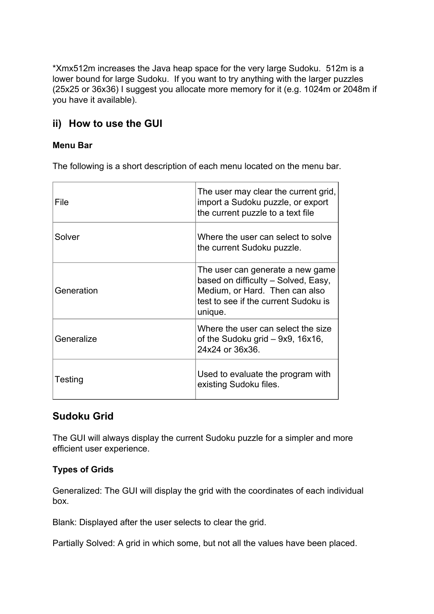\*Xmx512m increases the Java heap space for the very large Sudoku. 512m is a lower bound for large Sudoku. If you want to try anything with the larger puzzles (25x25 or 36x36) I suggest you allocate more memory for it (e.g. 1024m or 2048m if you have it available).

# **ii) How to use the GUI**

#### **Menu Bar**

The following is a short description of each menu located on the menu bar.

| File       | The user may clear the current grid,<br>import a Sudoku puzzle, or export<br>the current puzzle to a text file                                               |
|------------|--------------------------------------------------------------------------------------------------------------------------------------------------------------|
| Solver     | Where the user can select to solve<br>the current Sudoku puzzle.                                                                                             |
| Generation | The user can generate a new game<br>based on difficulty - Solved, Easy,<br>Medium, or Hard. Then can also<br>test to see if the current Sudoku is<br>unique. |
| Generalize | Where the user can select the size<br>of the Sudoku grid $-$ 9x9, 16x16,<br>24x24 or 36x36.                                                                  |
| Testing    | Used to evaluate the program with<br>existing Sudoku files.                                                                                                  |

## **Sudoku Grid**

The GUI will always display the current Sudoku puzzle for a simpler and more efficient user experience.

## **Types of Grids**

Generalized: The GUI will display the grid with the coordinates of each individual box.

Blank: Displayed after the user selects to clear the grid.

Partially Solved: A grid in which some, but not all the values have been placed.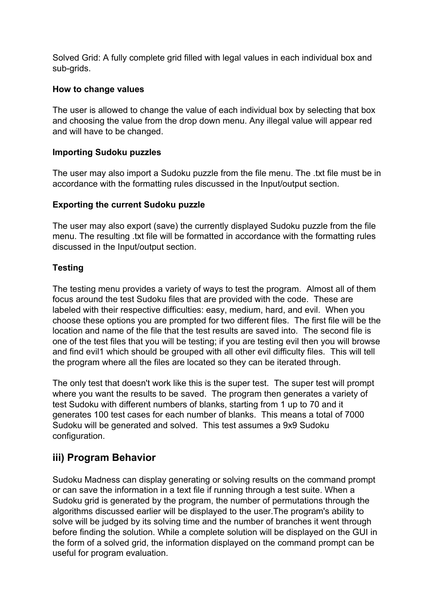Solved Grid: A fully complete grid filled with legal values in each individual box and sub-grids.

#### **How to change values**

The user is allowed to change the value of each individual box by selecting that box and choosing the value from the drop down menu. Any illegal value will appear red and will have to be changed.

#### **Importing Sudoku puzzles**

The user may also import a Sudoku puzzle from the file menu. The .txt file must be in accordance with the formatting rules discussed in the Input/output section.

#### **Exporting the current Sudoku puzzle**

The user may also export (save) the currently displayed Sudoku puzzle from the file menu. The resulting .txt file will be formatted in accordance with the formatting rules discussed in the Input/output section.

#### **Testing**

The testing menu provides a variety of ways to test the program. Almost all of them focus around the test Sudoku files that are provided with the code. These are labeled with their respective difficulties: easy, medium, hard, and evil. When you choose these options you are prompted for two different files. The first file will be the location and name of the file that the test results are saved into. The second file is one of the test files that you will be testing; if you are testing evil then you will browse and find evil1 which should be grouped with all other evil difficulty files. This will tell the program where all the files are located so they can be iterated through.

The only test that doesn't work like this is the super test. The super test will prompt where you want the results to be saved. The program then generates a variety of test Sudoku with different numbers of blanks, starting from 1 up to 70 and it generates 100 test cases for each number of blanks. This means a total of 7000 Sudoku will be generated and solved. This test assumes a 9x9 Sudoku configuration.

## **iii) Program Behavior**

Sudoku Madness can display generating or solving results on the command prompt or can save the information in a text file if running through a test suite. When a Sudoku grid is generated by the program, the number of permutations through the algorithms discussed earlier will be displayed to the user.The program's ability to solve will be judged by its solving time and the number of branches it went through before finding the solution. While a complete solution will be displayed on the GUI in the form of a solved grid, the information displayed on the command prompt can be useful for program evaluation.